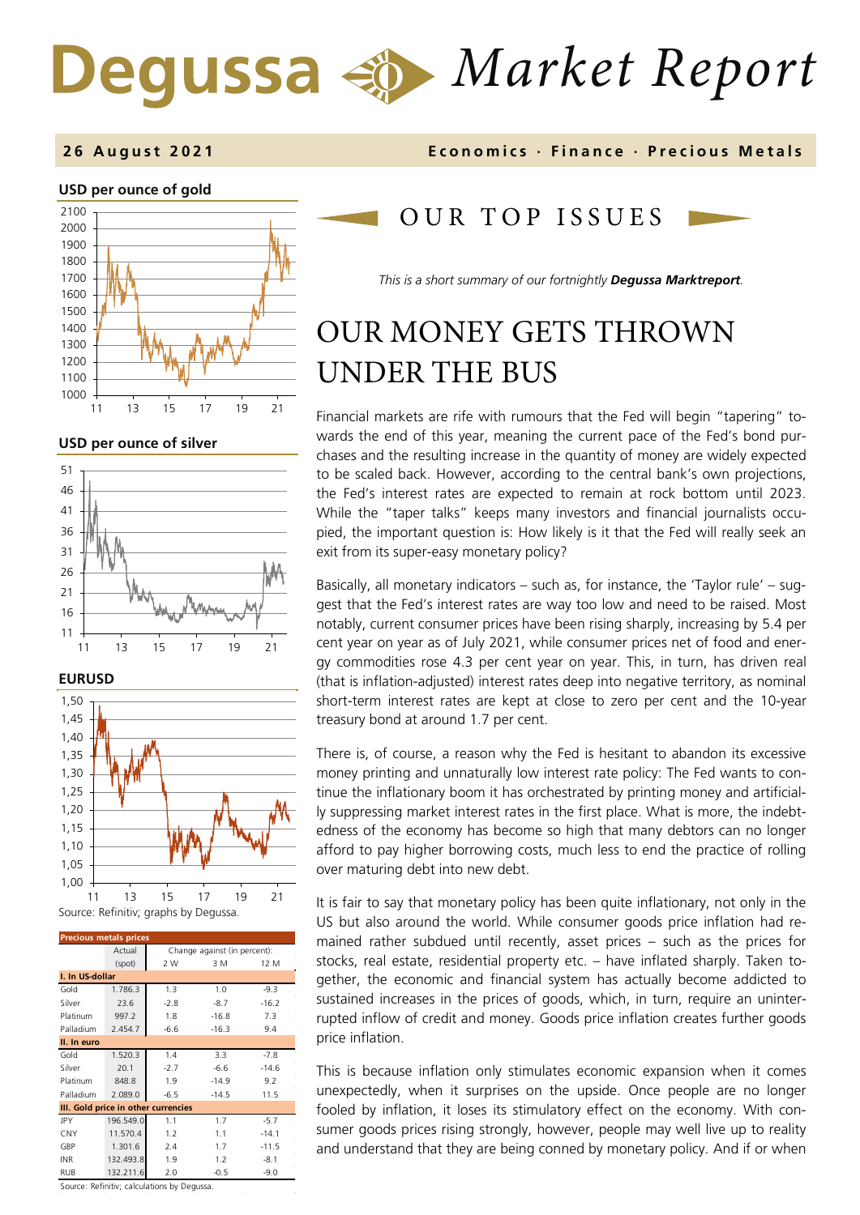# *Market Report*

#### **USD per ounce of gold**



**USD per ounce of silver** 







| <b>Precious metals prices</b>       |                                        |                   |         |         |  |  |  |
|-------------------------------------|----------------------------------------|-------------------|---------|---------|--|--|--|
|                                     | Actual<br>Change against (in percent): |                   |         |         |  |  |  |
|                                     | (spot)                                 | 2W<br>3 M<br>12 M |         |         |  |  |  |
| I. In US-dollar                     |                                        |                   |         |         |  |  |  |
| Gold                                | 1.786.3                                | 1.3               | 1.0     | $-9.3$  |  |  |  |
| Silver                              | 23.6                                   | $-2.8$            | $-8.7$  | $-16.2$ |  |  |  |
| Platinum                            | 997.2                                  | 1.8               | $-16.8$ | 7.3     |  |  |  |
| Palladium                           | 2.454.7                                | $-6.6$            | $-16.3$ | 9.4     |  |  |  |
| II. In euro                         |                                        |                   |         |         |  |  |  |
|                                     |                                        |                   |         |         |  |  |  |
| Gold                                | 1.520.3                                | 1.4               | 3.3     | $-7.8$  |  |  |  |
| Silver                              | 20.1                                   | $-2.7$            | $-6.6$  | $-14.6$ |  |  |  |
| Platinum                            | 848.8                                  | 1.9               | $-14.9$ | 9.2     |  |  |  |
| Palladium                           | 2.089.0                                | $-6.5$            | $-14.5$ | 11.5    |  |  |  |
| III. Gold price in other currencies |                                        |                   |         |         |  |  |  |
| JPY                                 | 196.549.0                              | 1.1               | 1.7     | $-5.7$  |  |  |  |
| CNY                                 | 11.570.4                               | 1.2               | 1.1     | $-14.1$ |  |  |  |
| GBP                                 | 1.301.6                                | 2.4               | 1.7     | $-11.5$ |  |  |  |
| <b>INR</b>                          | 132.493.8                              | 1.9               | 1.2     | $-8.1$  |  |  |  |
| <b>RUB</b>                          | 132.211.6                              | 2.0               | $-0.5$  | $-9.0$  |  |  |  |

Source: Refinitiv; calculations by Degussa.

### **2 6 August 202 1 Economics · Finance · Precious M etals**

## OUR TOP ISSUE S

*This is a short summary of our fortnightly Degussa Marktreport.*

## OUR MONEY GETS THROWN UNDER THE BUS

Financial markets are rife with rumours that the Fed will begin "tapering" towards the end of this year, meaning the current pace of the Fed's bond purchases and the resulting increase in the quantity of money are widely expected to be scaled back. However, according to the central bank's own projections, the Fed's interest rates are expected to remain at rock bottom until 2023. While the "taper talks" keeps many investors and financial journalists occupied, the important question is: How likely is it that the Fed will really seek an exit from its super-easy monetary policy?

Basically, all monetary indicators – such as, for instance, the 'Taylor rule' – suggest that the Fed's interest rates are way too low and need to be raised. Most notably, current consumer prices have been rising sharply, increasing by 5.4 per cent year on year as of July 2021, while consumer prices net of food and energy commodities rose 4.3 per cent year on year. This, in turn, has driven real (that is inflation-adjusted) interest rates deep into negative territory, as nominal short-term interest rates are kept at close to zero per cent and the 10-year treasury bond at around 1.7 per cent.

There is, of course, a reason why the Fed is hesitant to abandon its excessive money printing and unnaturally low interest rate policy: The Fed wants to continue the inflationary boom it has orchestrated by printing money and artificially suppressing market interest rates in the first place. What is more, the indebtedness of the economy has become so high that many debtors can no longer afford to pay higher borrowing costs, much less to end the practice of rolling over maturing debt into new debt.

It is fair to say that monetary policy has been quite inflationary, not only in the US but also around the world. While consumer goods price inflation had remained rather subdued until recently, asset prices – such as the prices for stocks, real estate, residential property etc. – have inflated sharply. Taken together, the economic and financial system has actually become addicted to sustained increases in the prices of goods, which, in turn, require an uninterrupted inflow of credit and money. Goods price inflation creates further goods price inflation.

This is because inflation only stimulates economic expansion when it comes unexpectedly, when it surprises on the upside. Once people are no longer fooled by inflation, it loses its stimulatory effect on the economy. With consumer goods prices rising strongly, however, people may well live up to reality and understand that they are being conned by monetary policy. And if or when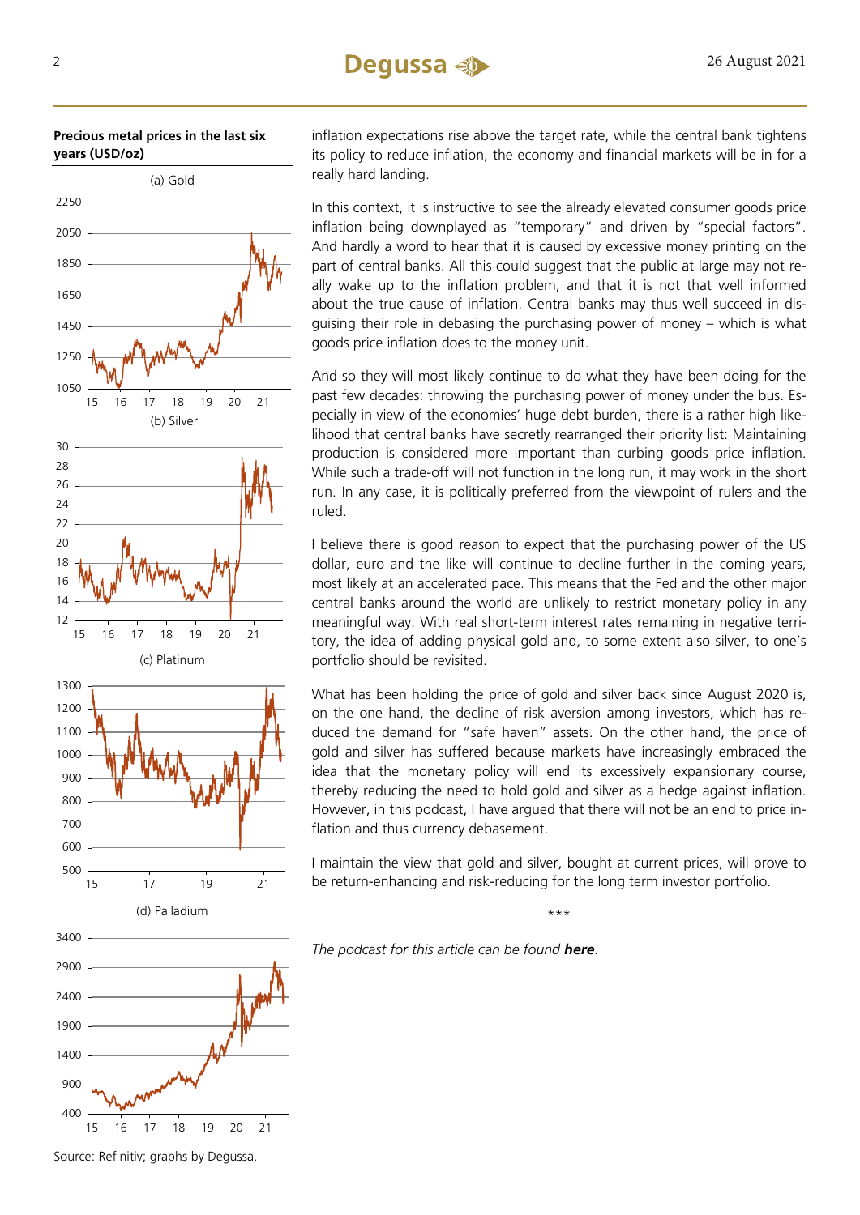



inflation expectations rise above the target rate, while the central bank tightens its policy to reduce inflation, the economy and financial markets will be in for a really hard landing.

In this context, it is instructive to see the already elevated consumer goods price inflation being downplayed as "temporary" and driven by "special factors". And hardly a word to hear that it is caused by excessive money printing on the part of central banks. All this could suggest that the public at large may not really wake up to the inflation problem, and that it is not that well informed about the true cause of inflation. Central banks may thus well succeed in disguising their role in debasing the purchasing power of money – which is what goods price inflation does to the money unit.

And so they will most likely continue to do what they have been doing for the past few decades: throwing the purchasing power of money under the bus. Especially in view of the economies' huge debt burden, there is a rather high likelihood that central banks have secretly rearranged their priority list: Maintaining production is considered more important than curbing goods price inflation. While such a trade-off will not function in the long run, it may work in the short run. In any case, it is politically preferred from the viewpoint of rulers and the ruled.

I believe there is good reason to expect that the purchasing power of the US dollar, euro and the like will continue to decline further in the coming years, most likely at an accelerated pace. This means that the Fed and the other major central banks around the world are unlikely to restrict monetary policy in any meaningful way. With real short-term interest rates remaining in negative territory, the idea of adding physical gold and, to some extent also silver, to one's portfolio should be revisited.

What has been holding the price of gold and silver back since August 2020 is, on the one hand, the decline of risk aversion among investors, which has reduced the demand for "safe haven" assets. On the other hand, the price of gold and silver has suffered because markets have increasingly embraced the idea that the monetary policy will end its excessively expansionary course, thereby reducing the need to hold gold and silver as a hedge against inflation. However, in this podcast, I have argued that there will not be an end to price inflation and thus currency debasement.

I maintain the view that gold and silver, bought at current prices, will prove to be return-enhancing and risk-reducing for the long term investor portfolio.

\*\*\*

*The podcast for this article can be found [here](https://soundcloud.com/user-889325874/our-money-gets-thrown-under-the-bus).*

Source: Refinitiv; graphs by Degussa.

15 16 17 18 19 20 21

400

900

1400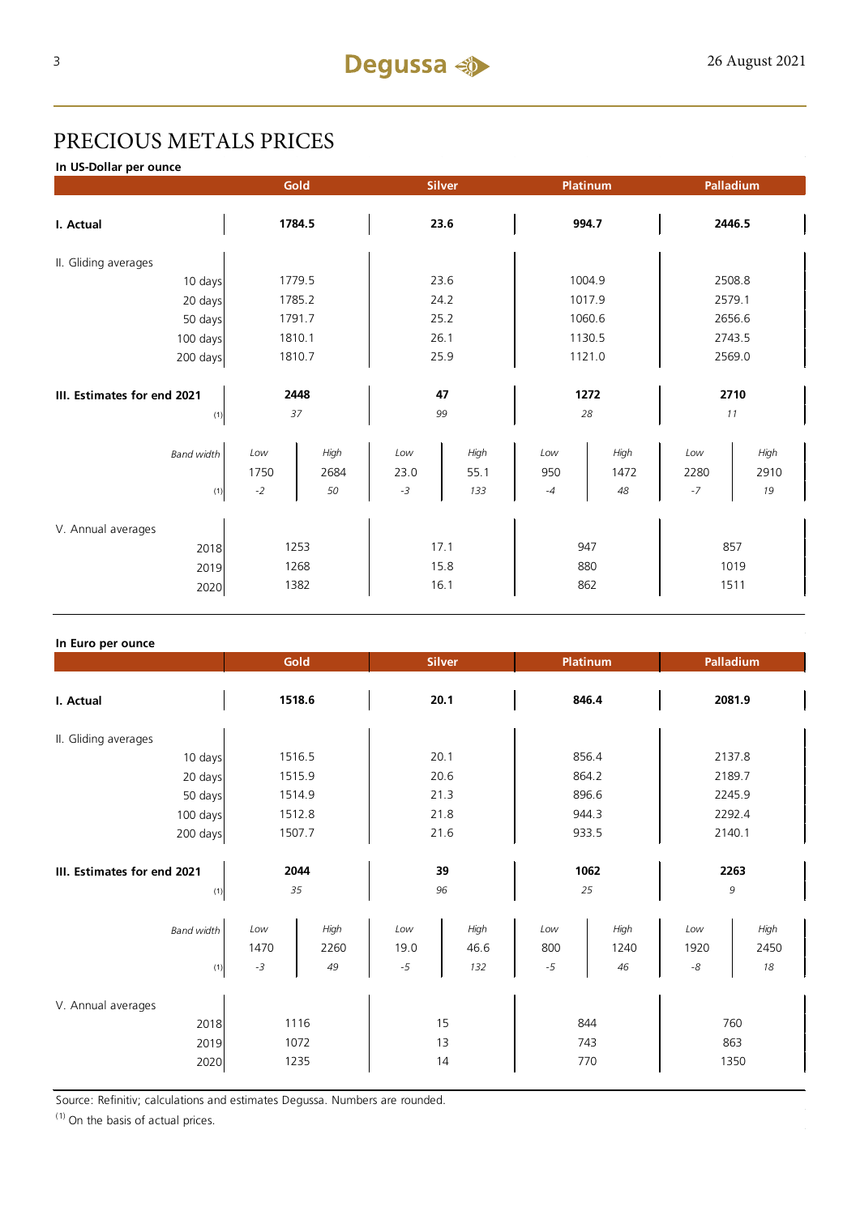## PRECIOUS METALS PRICES

**In US-Dollar per ounce**

|                                            |                     | Gold                 |                     | <b>Silver</b><br><b>Platinum</b> |                    |                    | Palladium           |                     |  |
|--------------------------------------------|---------------------|----------------------|---------------------|----------------------------------|--------------------|--------------------|---------------------|---------------------|--|
| I. Actual                                  | 1784.5              |                      | 23.6                |                                  | 994.7              |                    | 2446.5              |                     |  |
| II. Gliding averages                       |                     |                      |                     |                                  |                    |                    |                     |                     |  |
| 10 days                                    | 1779.5              |                      | 23.6                |                                  | 1004.9             |                    | 2508.8              |                     |  |
| 20 days                                    |                     | 1785.2               |                     | 24.2                             |                    | 1017.9             |                     | 2579.1              |  |
| 50 days                                    |                     | 1791.7               |                     | 25.2                             |                    | 1060.6             |                     | 2656.6              |  |
| 100 days                                   |                     | 1810.1               |                     | 26.1                             |                    | 1130.5             |                     | 2743.5              |  |
| 200 days                                   | 1810.7              |                      | 25.9                |                                  | 1121.0             |                    | 2569.0              |                     |  |
| III. Estimates for end 2021<br>(1)         | 2448<br>37          |                      | 47<br>99            |                                  | 1272<br>28         |                    | 2710<br>11          |                     |  |
| <b>Band width</b><br>(1)                   | Low<br>1750<br>$-2$ | High<br>2684<br>50   | Low<br>23.0<br>$-3$ | High<br>55.1<br>133              | Low<br>950<br>$-4$ | High<br>1472<br>48 | Low<br>2280<br>$-7$ | High<br>2910<br>19  |  |
| V. Annual averages<br>2018<br>2019<br>2020 |                     | 1253<br>1268<br>1382 |                     | 17.1<br>15.8<br>16.1             | 947<br>880<br>862  |                    |                     | 857<br>1019<br>1511 |  |

#### **In Euro per ounce**

|                                            |                     | Gold<br><b>Silver</b> |                     |                     | <b>Platinum</b>    |                    | Palladium         |                    |
|--------------------------------------------|---------------------|-----------------------|---------------------|---------------------|--------------------|--------------------|-------------------|--------------------|
| I. Actual                                  | 1518.6              |                       | 20.1                |                     | 846.4              |                    | 2081.9            |                    |
| II. Gliding averages                       |                     |                       |                     |                     |                    |                    |                   |                    |
| 10 days                                    | 1516.5              |                       | 20.1                |                     | 856.4              |                    | 2137.8            |                    |
| 20 days                                    | 1515.9              |                       | 20.6                |                     | 864.2              |                    | 2189.7            |                    |
| 50 days                                    | 1514.9              |                       | 21.3                |                     | 896.6              |                    | 2245.9            |                    |
| 100 days                                   | 1512.8              |                       | 21.8                |                     | 944.3              |                    | 2292.4            |                    |
| 200 days                                   | 1507.7              |                       | 21.6                |                     | 933.5              |                    | 2140.1            |                    |
| III. Estimates for end 2021<br>(1)         | 2044<br>35          |                       | 39<br>96            |                     | 1062<br>25         |                    | 2263<br>9         |                    |
| <b>Band width</b><br>(1)                   | Low<br>1470<br>$-3$ | High<br>2260<br>49    | Low<br>19.0<br>$-5$ | High<br>46.6<br>132 | Low<br>800<br>$-5$ | High<br>1240<br>46 | Low<br>1920<br>-8 | High<br>2450<br>18 |
| V. Annual averages<br>2018<br>2019<br>2020 |                     | 1116<br>1072<br>1235  |                     | 15<br>13<br>14      | 844<br>743<br>770  |                    | 863               | 760<br>1350        |

Source: Refinitiv; calculations and estimates Degussa. Numbers are rounded.

 $(1)$  On the basis of actual prices.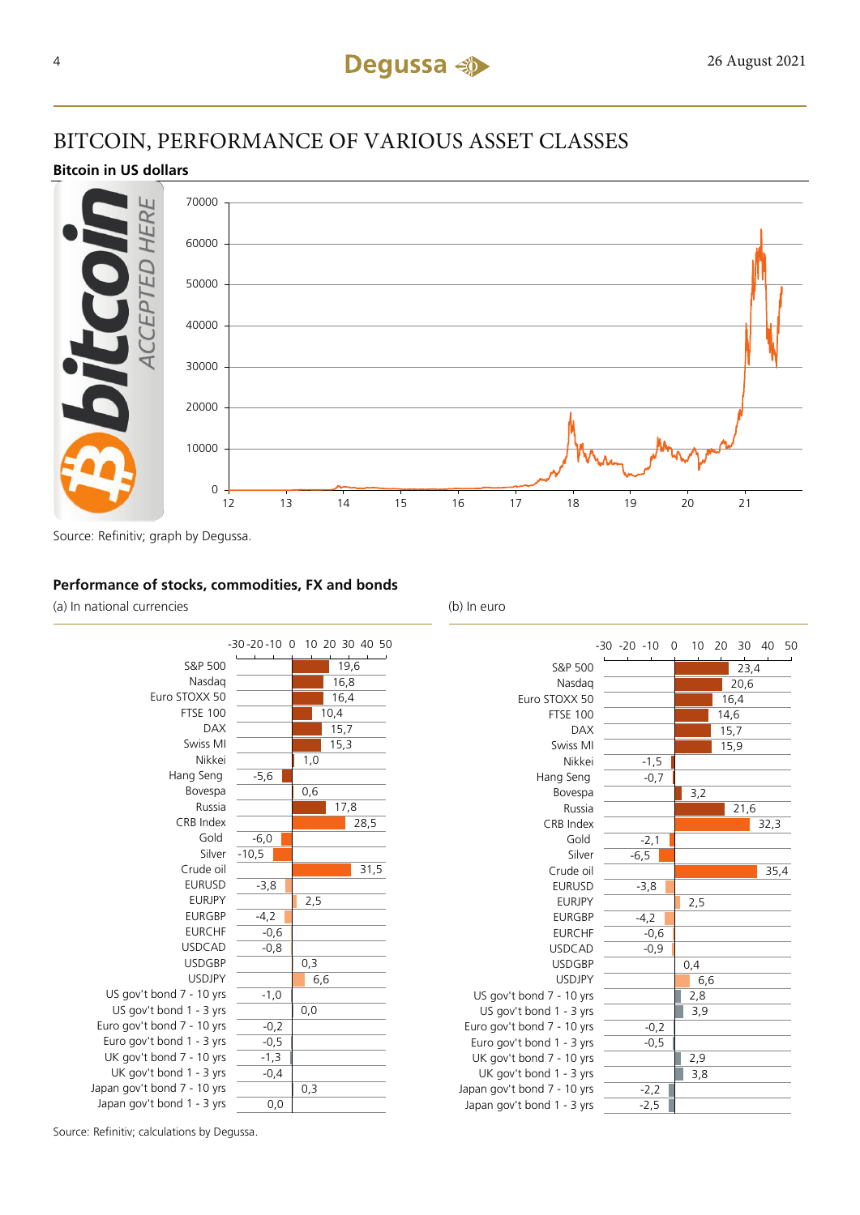## BITCOIN, PERFORMANCE OF VARIOUS ASSET CLASSES

#### **Bitcoin in US dollars**



Source: Refinitiv; graph by Degussa.

#### **Performance of stocks, commodities, FX and bonds**

(a) In national currencies (b) In euro





Source: Refinitiv; calculations by Degussa.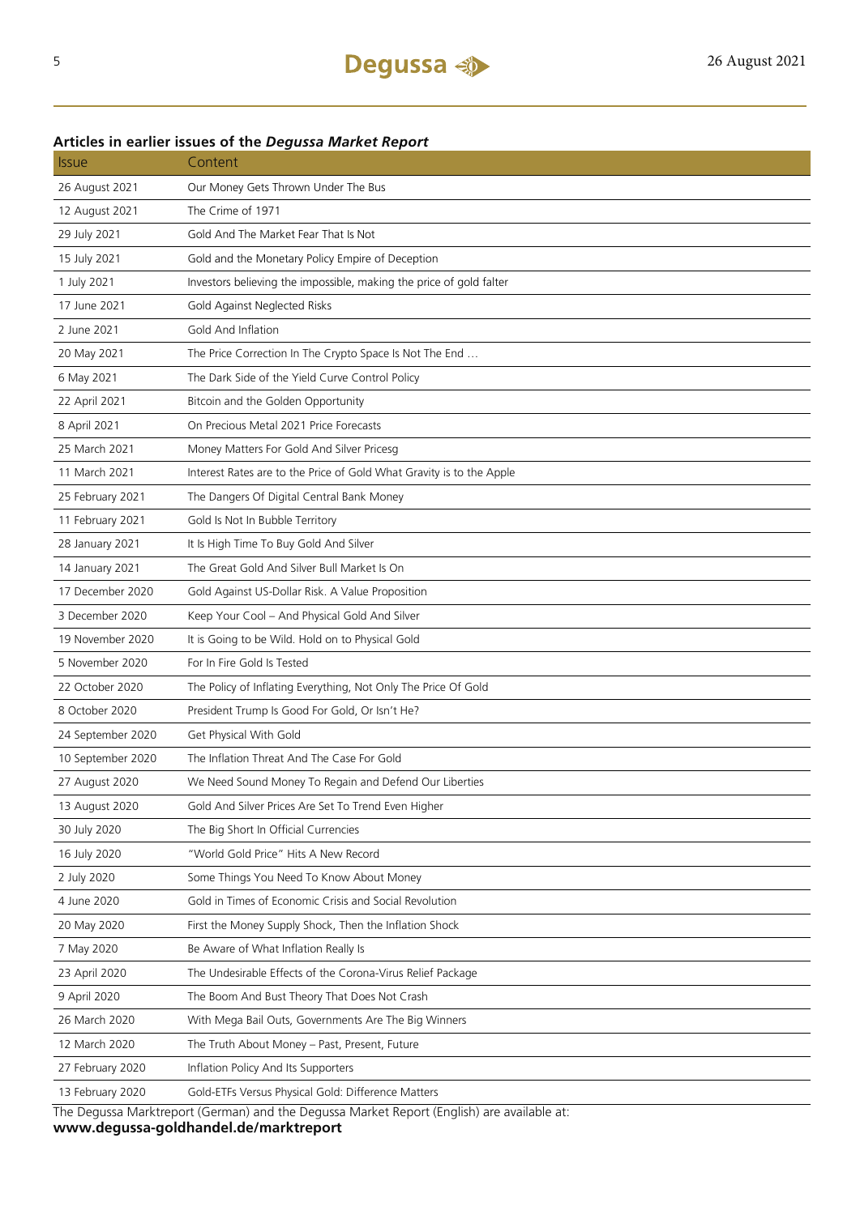## Issue Content 26 August 2021 Our Money Gets Thrown Under The Bus 12 August 2021 The Crime of 1971 29 July 2021 Gold And The Market Fear That Is Not 15 July 2021 Gold and the Monetary Policy Empire of Deception 1 July 2021 Investors believing the impossible, making the price of gold falter 17 June 2021 Gold Against Neglected Risks 2 June 2021 Gold And Inflation 20 May 2021 The Price Correction In The Crypto Space Is Not The End ... 6 May 2021 The Dark Side of the Yield Curve Control Policy 22 April 2021 Bitcoin and the Golden Opportunity 8 April 2021 On Precious Metal 2021 Price Forecasts 25 March 2021 Money Matters For Gold And Silver Pricesg 11 March 2021 Interest Rates are to the Price of Gold What Gravity is to the Apple 25 February 2021 The Dangers Of Digital Central Bank Money 11 February 2021 Gold Is Not In Bubble Territory 28 January 2021 It Is High Time To Buy Gold And Silver 14 January 2021 The Great Gold And Silver Bull Market Is On 17 December 2020 Gold Against US-Dollar Risk. A Value Proposition 3 December 2020 Keep Your Cool – And Physical Gold And Silver 19 November 2020 It is Going to be Wild. Hold on to Physical Gold 5 November 2020 For In Fire Gold Is Tested 22 October 2020 The Policy of Inflating Everything, Not Only The Price Of Gold 8 October 2020 President Trump Is Good For Gold, Or Isn't He? 24 September 2020 Get Physical With Gold 10 September 2020 The Inflation Threat And The Case For Gold 27 August 2020 We Need Sound Money To Regain and Defend Our Liberties 13 August 2020 Gold And Silver Prices Are Set To Trend Even Higher 30 July 2020 The Big Short In Official Currencies 16 July 2020 "World Gold Price" Hits A New Record 2 July 2020 Some Things You Need To Know About Money 4 June 2020 Gold in Times of Economic Crisis and Social Revolution 20 May 2020 First the Money Supply Shock, Then the Inflation Shock 7 May 2020 Be Aware of What Inflation Really Is 23 April 2020 The Undesirable Effects of the Corona-Virus Relief Package 9 April 2020 The Boom And Bust Theory That Does Not Crash 26 March 2020 With Mega Bail Outs, Governments Are The Big Winners 12 March 2020 The Truth About Money – Past, Present, Future 27 February 2020 Inflation Policy And Its Supporters 13 February 2020 Gold-ETFs Versus Physical Gold: Difference Matters

#### **Articles in earlier issues of the** *Degussa Market Report*

The Degussa Marktreport (German) and the Degussa Market Report (English) are available at: **www.degussa-goldhandel.de/marktreport**